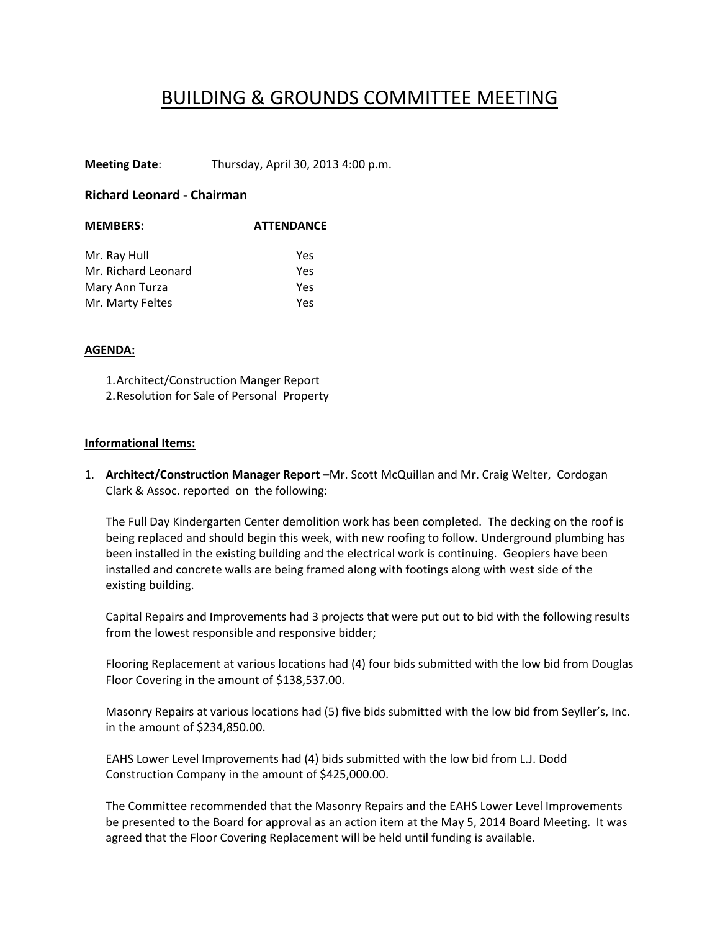## BUILDING & GROUNDS COMMITTEE MEETING

**Meeting Date**: Thursday, April 30, 2013 4:00 p.m.

## **Richard Leonard ‐ Chairman**

| <b>ATTENDANCE</b> |
|-------------------|
|                   |
| Yes               |
| Yes               |
| Yes               |
| Yes               |
|                   |

## **AGENDA:**

1.Architect/Construction Manger Report 2.Resolution for Sale of Personal Property

## **Informational Items:**

1. **Architect/Construction Manager Report –**Mr. Scott McQuillan and Mr. Craig Welter, Cordogan Clark & Assoc. reported on the following:

The Full Day Kindergarten Center demolition work has been completed. The decking on the roof is being replaced and should begin this week, with new roofing to follow. Underground plumbing has been installed in the existing building and the electrical work is continuing. Geopiers have been installed and concrete walls are being framed along with footings along with west side of the existing building.

Capital Repairs and Improvements had 3 projects that were put out to bid with the following results from the lowest responsible and responsive bidder;

Flooring Replacement at various locations had (4) four bids submitted with the low bid from Douglas Floor Covering in the amount of \$138,537.00.

Masonry Repairs at various locations had (5) five bids submitted with the low bid from Seyller's, Inc. in the amount of \$234,850.00.

EAHS Lower Level Improvements had (4) bids submitted with the low bid from L.J. Dodd Construction Company in the amount of \$425,000.00.

The Committee recommended that the Masonry Repairs and the EAHS Lower Level Improvements be presented to the Board for approval as an action item at the May 5, 2014 Board Meeting. It was agreed that the Floor Covering Replacement will be held until funding is available.